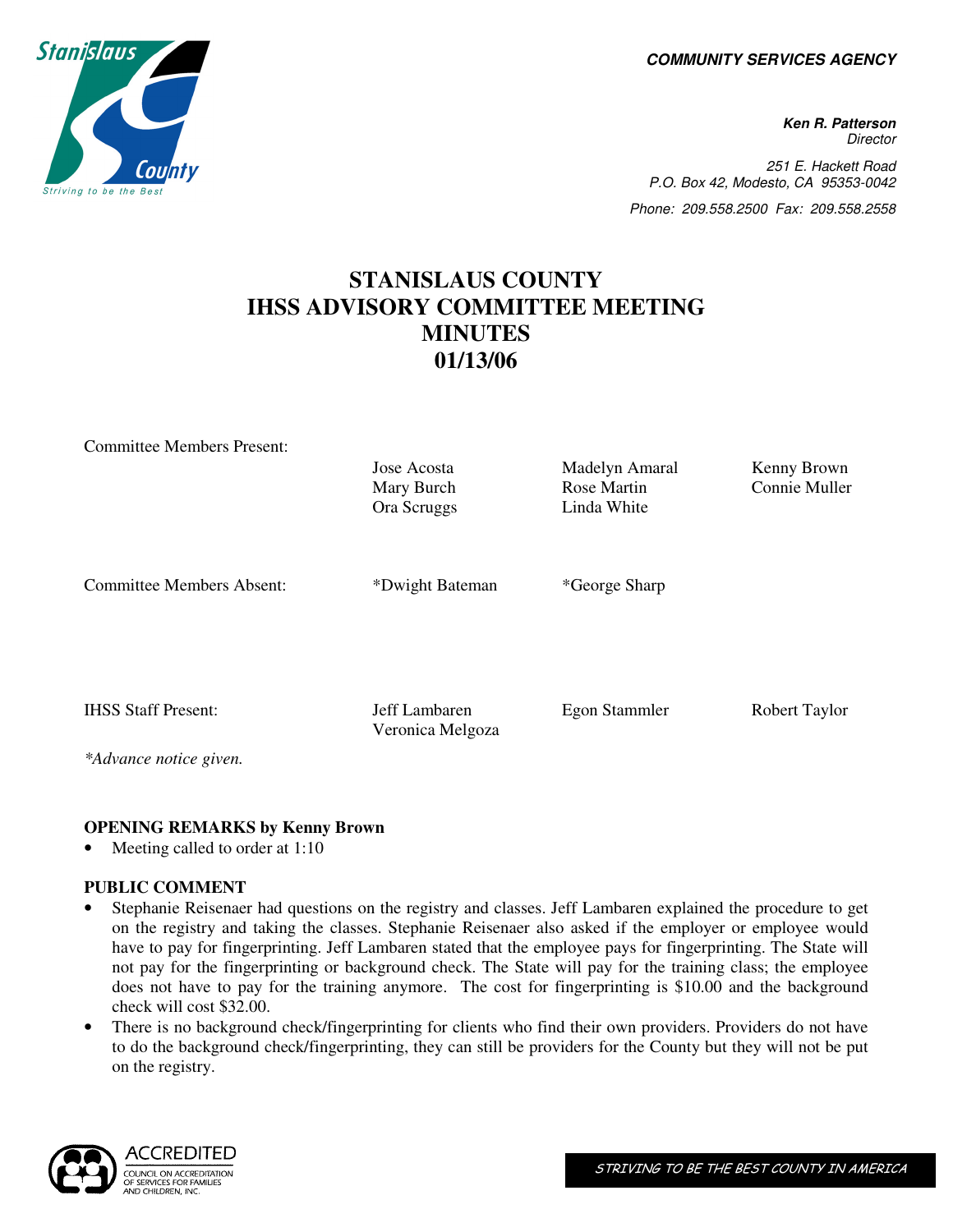**COMMUNITY SERVICES AGENCY** 

**Ken R. Patterson Director** 251 E. Hackett Road P.O. Box 42, Modesto, CA 95353-0042 Phone: 209.558.2500 Fax: 209.558.2558

# **STANISLAUS COUNTY IHSS ADVISORY COMMITTEE MEETING MINUTES 01/13/06**

| <b>Committee Members Present:</b>                    | Jose Acosta<br>Mary Burch<br>Ora Scruggs | Madelyn Amaral<br>Rose Martin<br>Linda White | Kenny Brown<br>Connie Muller |
|------------------------------------------------------|------------------------------------------|----------------------------------------------|------------------------------|
| <b>Committee Members Absent:</b>                     | *Dwight Bateman                          | *George Sharp                                |                              |
| <b>IHSS Staff Present:</b><br>*Advance notice given. | Jeff Lambaren<br>Veronica Melgoza        | Egon Stammler                                | Robert Taylor                |

# **OPENING REMARKS by Kenny Brown**

Meeting called to order at 1:10

#### **PUBLIC COMMENT**

- Stephanie Reisenaer had questions on the registry and classes. Jeff Lambaren explained the procedure to get on the registry and taking the classes. Stephanie Reisenaer also asked if the employer or employee would have to pay for fingerprinting. Jeff Lambaren stated that the employee pays for fingerprinting. The State will not pay for the fingerprinting or background check. The State will pay for the training class; the employee does not have to pay for the training anymore. The cost for fingerprinting is \$10.00 and the background check will cost \$32.00.
- There is no background check/fingerprinting for clients who find their own providers. Providers do not have to do the background check/fingerprinting, they can still be providers for the County but they will not be put on the registry.



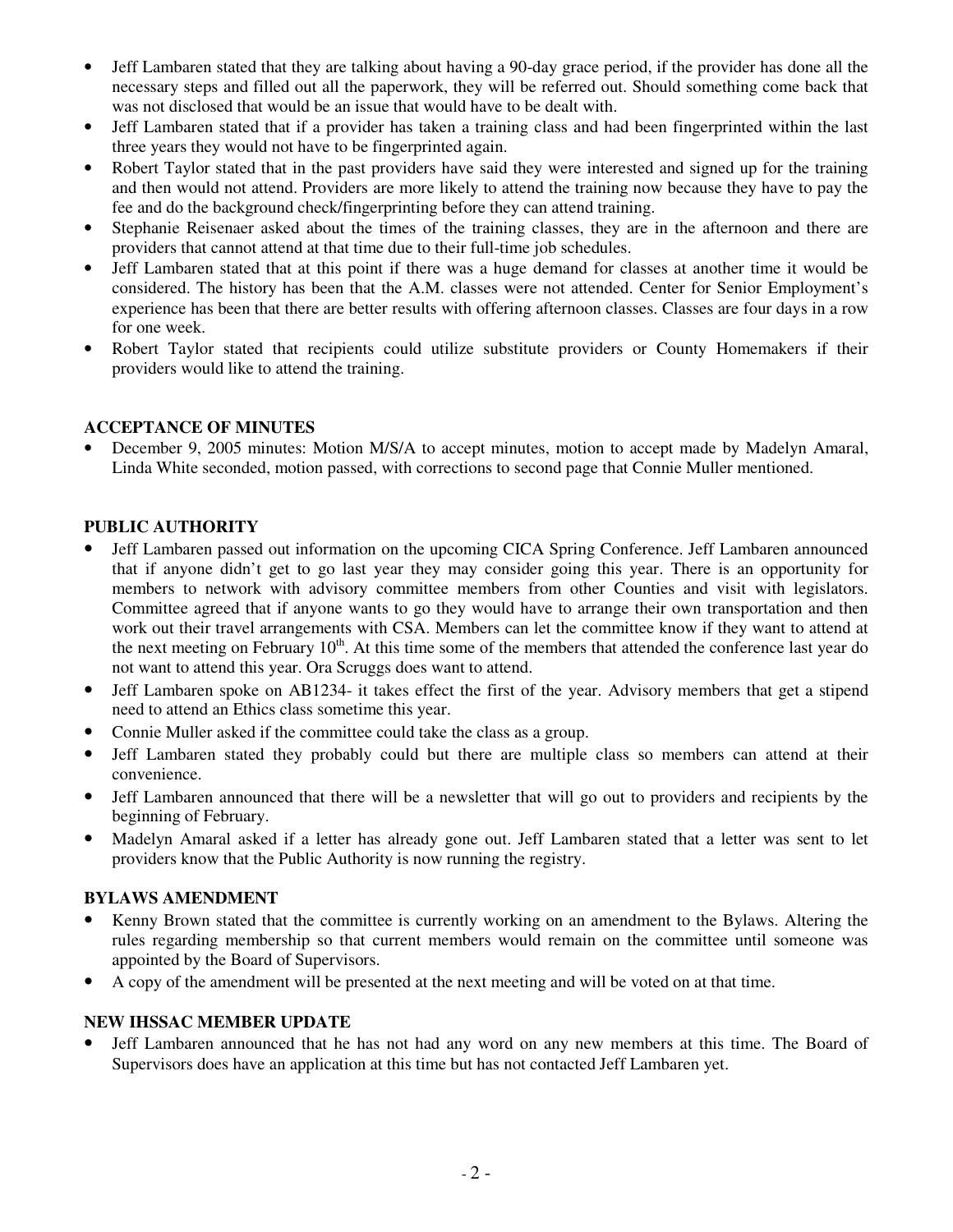- Jeff Lambaren stated that they are talking about having a 90-day grace period, if the provider has done all the necessary steps and filled out all the paperwork, they will be referred out. Should something come back that was not disclosed that would be an issue that would have to be dealt with.
- Jeff Lambaren stated that if a provider has taken a training class and had been fingerprinted within the last three years they would not have to be fingerprinted again.
- Robert Taylor stated that in the past providers have said they were interested and signed up for the training and then would not attend. Providers are more likely to attend the training now because they have to pay the fee and do the background check/fingerprinting before they can attend training.
- Stephanie Reisenaer asked about the times of the training classes, they are in the afternoon and there are providers that cannot attend at that time due to their full-time job schedules.
- Jeff Lambaren stated that at this point if there was a huge demand for classes at another time it would be considered. The history has been that the A.M. classes were not attended. Center for Senior Employment's experience has been that there are better results with offering afternoon classes. Classes are four days in a row for one week.
- Robert Taylor stated that recipients could utilize substitute providers or County Homemakers if their providers would like to attend the training.

# **ACCEPTANCE OF MINUTES**

• December 9, 2005 minutes: Motion M/S/A to accept minutes, motion to accept made by Madelyn Amaral, Linda White seconded, motion passed, with corrections to second page that Connie Muller mentioned.

## **PUBLIC AUTHORITY**

- Jeff Lambaren passed out information on the upcoming CICA Spring Conference. Jeff Lambaren announced that if anyone didn't get to go last year they may consider going this year. There is an opportunity for members to network with advisory committee members from other Counties and visit with legislators. Committee agreed that if anyone wants to go they would have to arrange their own transportation and then work out their travel arrangements with CSA. Members can let the committee know if they want to attend at the next meeting on February  $10<sup>th</sup>$ . At this time some of the members that attended the conference last year do not want to attend this year. Ora Scruggs does want to attend.
- Jeff Lambaren spoke on AB1234- it takes effect the first of the year. Advisory members that get a stipend need to attend an Ethics class sometime this year.
- Connie Muller asked if the committee could take the class as a group.
- Jeff Lambaren stated they probably could but there are multiple class so members can attend at their convenience.
- Jeff Lambaren announced that there will be a newsletter that will go out to providers and recipients by the beginning of February.
- Madelyn Amaral asked if a letter has already gone out. Jeff Lambaren stated that a letter was sent to let providers know that the Public Authority is now running the registry.

#### **BYLAWS AMENDMENT**

- Kenny Brown stated that the committee is currently working on an amendment to the Bylaws. Altering the rules regarding membership so that current members would remain on the committee until someone was appointed by the Board of Supervisors.
- A copy of the amendment will be presented at the next meeting and will be voted on at that time.

#### **NEW IHSSAC MEMBER UPDATE**

• Jeff Lambaren announced that he has not had any word on any new members at this time. The Board of Supervisors does have an application at this time but has not contacted Jeff Lambaren yet.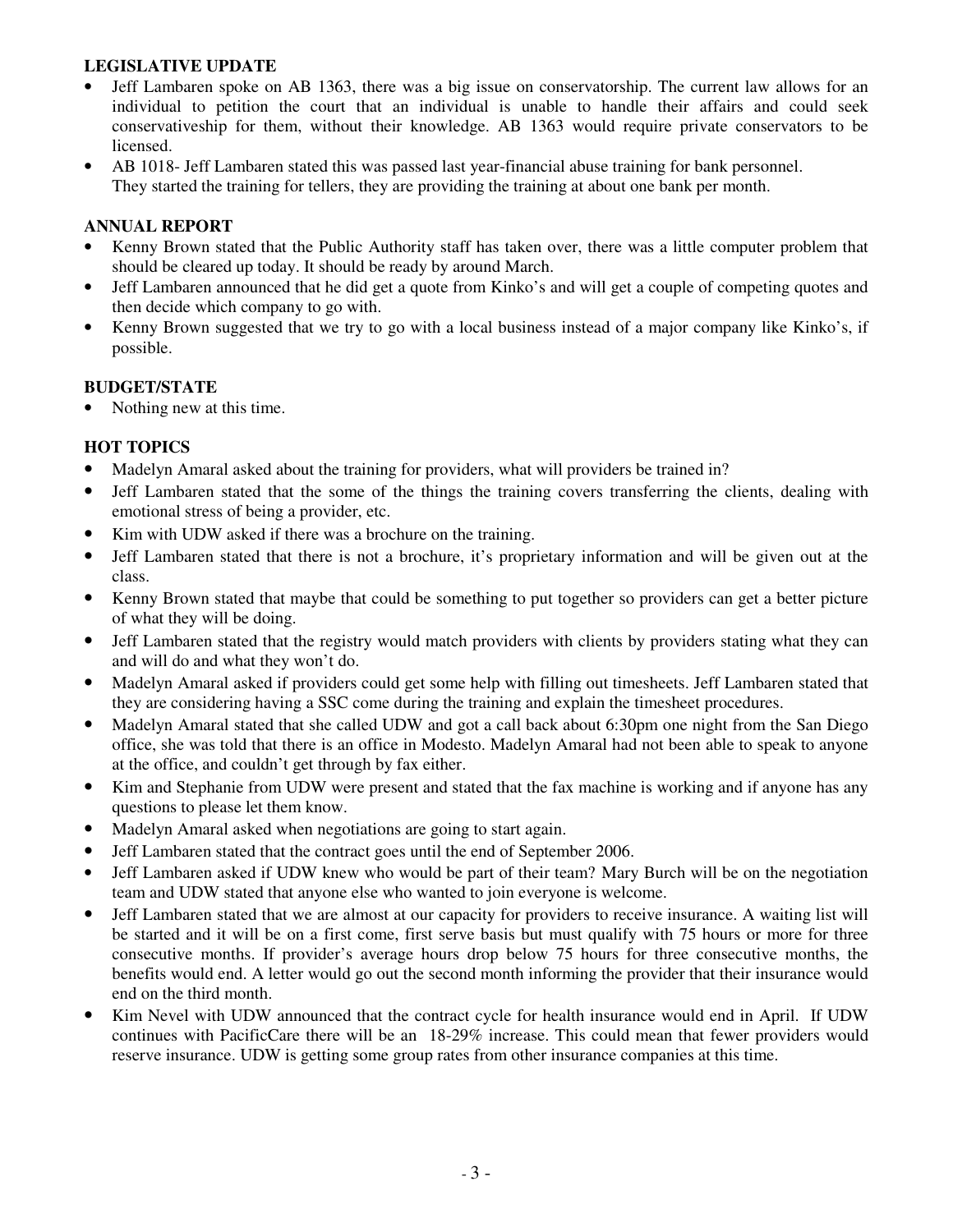## **LEGISLATIVE UPDATE**

- Jeff Lambaren spoke on AB 1363, there was a big issue on conservatorship. The current law allows for an individual to petition the court that an individual is unable to handle their affairs and could seek conservativeship for them, without their knowledge. AB 1363 would require private conservators to be licensed.
- AB 1018- Jeff Lambaren stated this was passed last year-financial abuse training for bank personnel. They started the training for tellers, they are providing the training at about one bank per month.

## **ANNUAL REPORT**

- Kenny Brown stated that the Public Authority staff has taken over, there was a little computer problem that should be cleared up today. It should be ready by around March.
- Jeff Lambaren announced that he did get a quote from Kinko's and will get a couple of competing quotes and then decide which company to go with.
- Kenny Brown suggested that we try to go with a local business instead of a major company like Kinko's, if possible.

#### **BUDGET/STATE**

Nothing new at this time.

# **HOT TOPICS**

- Madelyn Amaral asked about the training for providers, what will providers be trained in?
- Jeff Lambaren stated that the some of the things the training covers transferring the clients, dealing with emotional stress of being a provider, etc.
- Kim with UDW asked if there was a brochure on the training.
- Jeff Lambaren stated that there is not a brochure, it's proprietary information and will be given out at the class.
- Kenny Brown stated that maybe that could be something to put together so providers can get a better picture of what they will be doing.
- Jeff Lambaren stated that the registry would match providers with clients by providers stating what they can and will do and what they won't do.
- Madelyn Amaral asked if providers could get some help with filling out timesheets. Jeff Lambaren stated that they are considering having a SSC come during the training and explain the timesheet procedures.
- Madelyn Amaral stated that she called UDW and got a call back about 6:30pm one night from the San Diego office, she was told that there is an office in Modesto. Madelyn Amaral had not been able to speak to anyone at the office, and couldn't get through by fax either.
- Kim and Stephanie from UDW were present and stated that the fax machine is working and if anyone has any questions to please let them know.
- Madelyn Amaral asked when negotiations are going to start again.
- Jeff Lambaren stated that the contract goes until the end of September 2006.
- Jeff Lambaren asked if UDW knew who would be part of their team? Mary Burch will be on the negotiation team and UDW stated that anyone else who wanted to join everyone is welcome.
- Jeff Lambaren stated that we are almost at our capacity for providers to receive insurance. A waiting list will be started and it will be on a first come, first serve basis but must qualify with 75 hours or more for three consecutive months. If provider's average hours drop below 75 hours for three consecutive months, the benefits would end. A letter would go out the second month informing the provider that their insurance would end on the third month.
- Kim Nevel with UDW announced that the contract cycle for health insurance would end in April. If UDW continues with PacificCare there will be an 18-29% increase. This could mean that fewer providers would reserve insurance. UDW is getting some group rates from other insurance companies at this time.